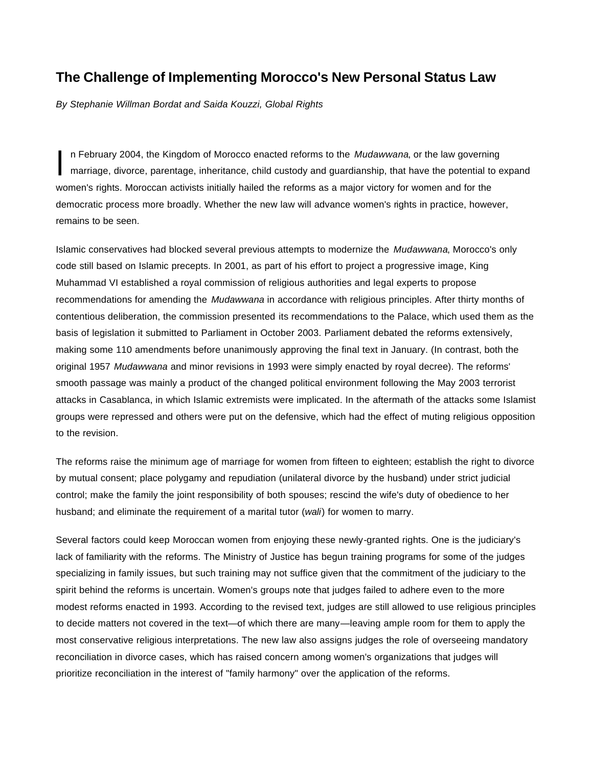## **The Challenge of Implementing Morocco's New Personal Status Law**

*By Stephanie Willman Bordat and Saida Kouzzi, Global Rights*

In February 2004, the Kingdom of Morocco enacted reforms to the *Mudawwana*, or the law governing marriage, divorce, parentage, inheritance, child custody and guardianship, that have the potential to expand women's rights. Moroccan activists initially hailed the reforms as a major victory for women and for the democratic process more broadly. Whether the new law will advance women's rights in practice, however, remains to be seen. I

Islamic conservatives had blocked several previous attempts to modernize the *Mudawwana*, Morocco's only code still based on Islamic precepts. In 2001, as part of his effort to project a progressive image, King Muhammad VI established a royal commission of religious authorities and legal experts to propose recommendations for amending the *Mudawwana* in accordance with religious principles. After thirty months of contentious deliberation, the commission presented its recommendations to the Palace, which used them as the basis of legislation it submitted to Parliament in October 2003. Parliament debated the reforms extensively, making some 110 amendments before unanimously approving the final text in January. (In contrast, both the original 1957 *Mudawwana* and minor revisions in 1993 were simply enacted by royal decree). The reforms' smooth passage was mainly a product of the changed political environment following the May 2003 terrorist attacks in Casablanca, in which Islamic extremists were implicated. In the aftermath of the attacks some Islamist groups were repressed and others were put on the defensive, which had the effect of muting religious opposition to the revision.

The reforms raise the minimum age of marriage for women from fifteen to eighteen; establish the right to divorce by mutual consent; place polygamy and repudiation (unilateral divorce by the husband) under strict judicial control; make the family the joint responsibility of both spouses; rescind the wife's duty of obedience to her husband; and eliminate the requirement of a marital tutor (*wali*) for women to marry.

Several factors could keep Moroccan women from enjoying these newly-granted rights. One is the judiciary's lack of familiarity with the reforms. The Ministry of Justice has begun training programs for some of the judges specializing in family issues, but such training may not suffice given that the commitment of the judiciary to the spirit behind the reforms is uncertain. Women's groups note that judges failed to adhere even to the more modest reforms enacted in 1993. According to the revised text, judges are still allowed to use religious principles to decide matters not covered in the text—of which there are many—leaving ample room for them to apply the most conservative religious interpretations. The new law also assigns judges the role of overseeing mandatory reconciliation in divorce cases, which has raised concern among women's organizations that judges will prioritize reconciliation in the interest of "family harmony" over the application of the reforms.